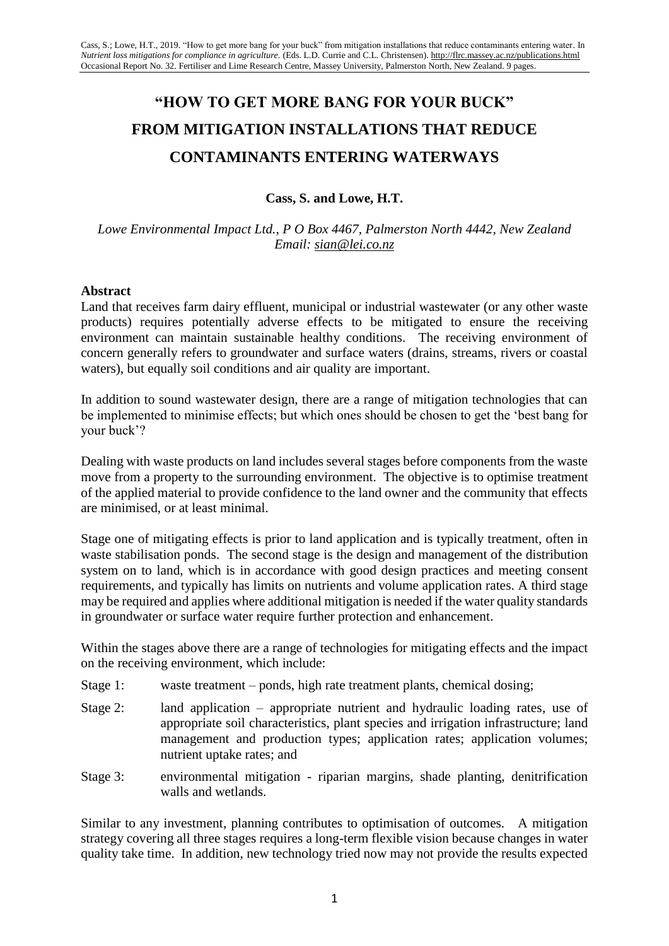# **"HOW TO GET MORE BANG FOR YOUR BUCK" FROM MITIGATION INSTALLATIONS THAT REDUCE CONTAMINANTS ENTERING WATERWAYS**

# **Cass, S. and Lowe, H.T.**

*Lowe Environmental Impact Ltd., P O Box 4467, Palmerston North 4442, New Zealand Email: sian@lei.co.nz*

#### **Abstract**

Land that receives farm dairy effluent, municipal or industrial wastewater (or any other waste products) requires potentially adverse effects to be mitigated to ensure the receiving environment can maintain sustainable healthy conditions. The receiving environment of concern generally refers to groundwater and surface waters (drains, streams, rivers or coastal waters), but equally soil conditions and air quality are important.

In addition to sound wastewater design, there are a range of mitigation technologies that can be implemented to minimise effects; but which ones should be chosen to get the 'best bang for your buck'?

Dealing with waste products on land includes several stages before components from the waste move from a property to the surrounding environment. The objective is to optimise treatment of the applied material to provide confidence to the land owner and the community that effects are minimised, or at least minimal.

Stage one of mitigating effects is prior to land application and is typically treatment, often in waste stabilisation ponds. The second stage is the design and management of the distribution system on to land, which is in accordance with good design practices and meeting consent requirements, and typically has limits on nutrients and volume application rates. A third stage may be required and applies where additional mitigation is needed if the water quality standards in groundwater or surface water require further protection and enhancement.

Within the stages above there are a range of technologies for mitigating effects and the impact on the receiving environment, which include:

- Stage 1: waste treatment ponds, high rate treatment plants, chemical dosing;
- Stage 2: land application appropriate nutrient and hydraulic loading rates, use of appropriate soil characteristics, plant species and irrigation infrastructure; land management and production types; application rates; application volumes; nutrient uptake rates; and
- Stage 3: environmental mitigation riparian margins, shade planting, denitrification walls and wetlands.

Similar to any investment, planning contributes to optimisation of outcomes. A mitigation strategy covering all three stages requires a long-term flexible vision because changes in water quality take time. In addition, new technology tried now may not provide the results expected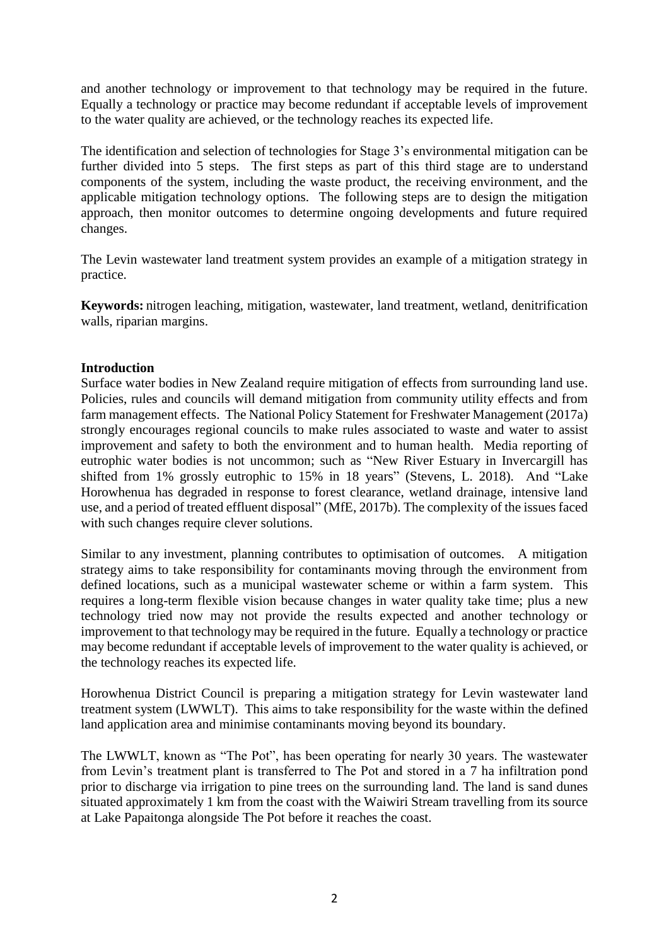and another technology or improvement to that technology may be required in the future. Equally a technology or practice may become redundant if acceptable levels of improvement to the water quality are achieved, or the technology reaches its expected life.

The identification and selection of technologies for Stage 3's environmental mitigation can be further divided into 5 steps. The first steps as part of this third stage are to understand components of the system, including the waste product, the receiving environment, and the applicable mitigation technology options. The following steps are to design the mitigation approach, then monitor outcomes to determine ongoing developments and future required changes.

The Levin wastewater land treatment system provides an example of a mitigation strategy in practice.

**Keywords:** nitrogen leaching, mitigation, wastewater, land treatment, wetland, denitrification walls, riparian margins.

#### **Introduction**

Surface water bodies in New Zealand require mitigation of effects from surrounding land use. Policies, rules and councils will demand mitigation from community utility effects and from farm management effects. The National Policy Statement for Freshwater Management (2017a) strongly encourages regional councils to make rules associated to waste and water to assist improvement and safety to both the environment and to human health. Media reporting of eutrophic water bodies is not uncommon; such as "New River Estuary in Invercargill has shifted from 1% grossly eutrophic to 15% in 18 years" (Stevens, L. 2018). And "Lake Horowhenua has degraded in response to forest clearance, wetland drainage, intensive land use, and a period of treated effluent disposal" (MfE, 2017b). The complexity of the issues faced with such changes require clever solutions.

Similar to any investment, planning contributes to optimisation of outcomes. A mitigation strategy aims to take responsibility for contaminants moving through the environment from defined locations, such as a municipal wastewater scheme or within a farm system. This requires a long-term flexible vision because changes in water quality take time; plus a new technology tried now may not provide the results expected and another technology or improvement to that technology may be required in the future. Equally a technology or practice may become redundant if acceptable levels of improvement to the water quality is achieved, or the technology reaches its expected life.

Horowhenua District Council is preparing a mitigation strategy for Levin wastewater land treatment system (LWWLT). This aims to take responsibility for the waste within the defined land application area and minimise contaminants moving beyond its boundary.

The LWWLT, known as "The Pot", has been operating for nearly 30 years. The wastewater from Levin's treatment plant is transferred to The Pot and stored in a 7 ha infiltration pond prior to discharge via irrigation to pine trees on the surrounding land. The land is sand dunes situated approximately 1 km from the coast with the Waiwiri Stream travelling from its source at Lake Papaitonga alongside The Pot before it reaches the coast.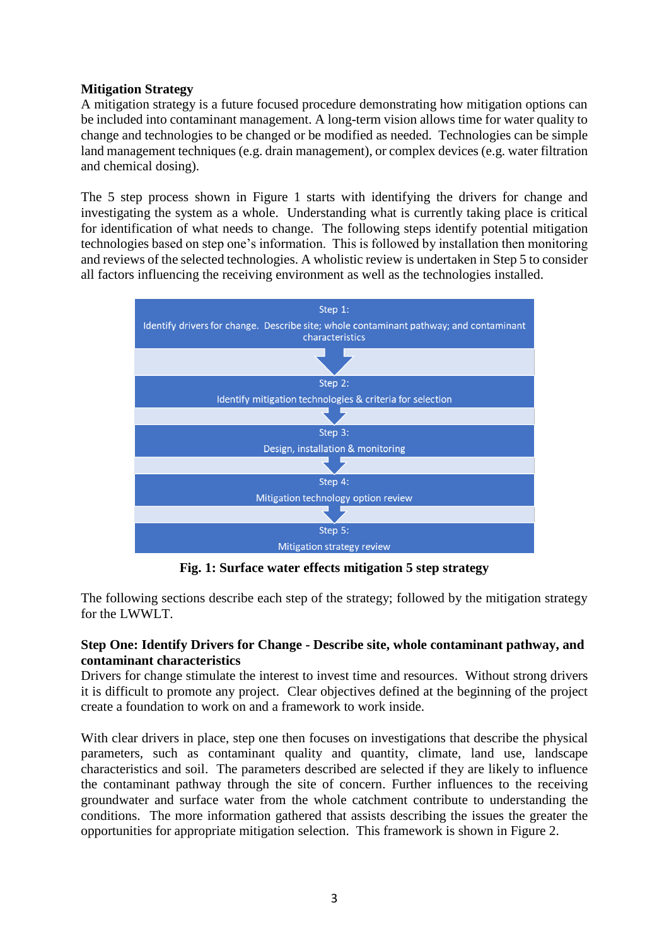## **Mitigation Strategy**

A mitigation strategy is a future focused procedure demonstrating how mitigation options can be included into contaminant management. A long-term vision allows time for water quality to change and technologies to be changed or be modified as needed. Technologies can be simple land management techniques (e.g. drain management), or complex devices (e.g. water filtration and chemical dosing).

The 5 step process shown in Figure 1 starts with identifying the drivers for change and investigating the system as a whole. Understanding what is currently taking place is critical for identification of what needs to change. The following steps identify potential mitigation technologies based on step one's information. This is followed by installation then monitoring and reviews of the selected technologies. A wholistic review is undertaken in Step 5 to consider all factors influencing the receiving environment as well as the technologies installed.



**Fig. 1: Surface water effects mitigation 5 step strategy**

The following sections describe each step of the strategy; followed by the mitigation strategy for the LWWLT.

## **Step One: Identify Drivers for Change - Describe site, whole contaminant pathway, and contaminant characteristics**

Drivers for change stimulate the interest to invest time and resources. Without strong drivers it is difficult to promote any project. Clear objectives defined at the beginning of the project create a foundation to work on and a framework to work inside.

With clear drivers in place, step one then focuses on investigations that describe the physical parameters, such as contaminant quality and quantity, climate, land use, landscape characteristics and soil. The parameters described are selected if they are likely to influence the contaminant pathway through the site of concern. Further influences to the receiving groundwater and surface water from the whole catchment contribute to understanding the conditions. The more information gathered that assists describing the issues the greater the opportunities for appropriate mitigation selection. This framework is shown in Figure 2.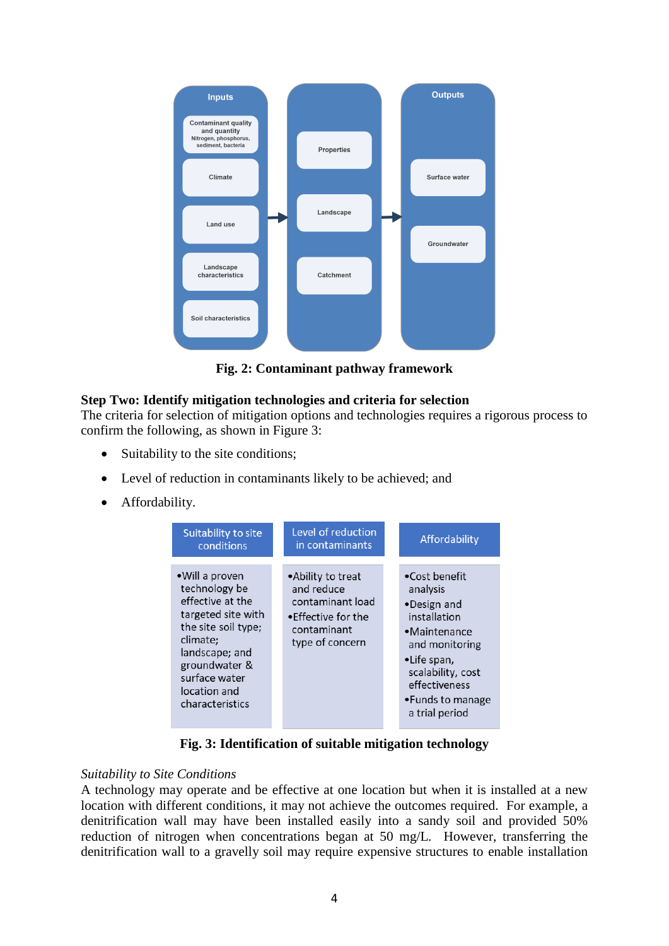

**Fig. 2: Contaminant pathway framework**

# **Step Two: Identify mitigation technologies and criteria for selection**

The criteria for selection of mitigation options and technologies requires a rigorous process to confirm the following, as shown in Figure 3:

- Suitability to the site conditions;
- Level of reduction in contaminants likely to be achieved; and
- Affordability.



**Fig. 3: Identification of suitable mitigation technology**

#### *Suitability to Site Conditions*

A technology may operate and be effective at one location but when it is installed at a new location with different conditions, it may not achieve the outcomes required. For example, a denitrification wall may have been installed easily into a sandy soil and provided 50% reduction of nitrogen when concentrations began at 50 mg/L. However, transferring the denitrification wall to a gravelly soil may require expensive structures to enable installation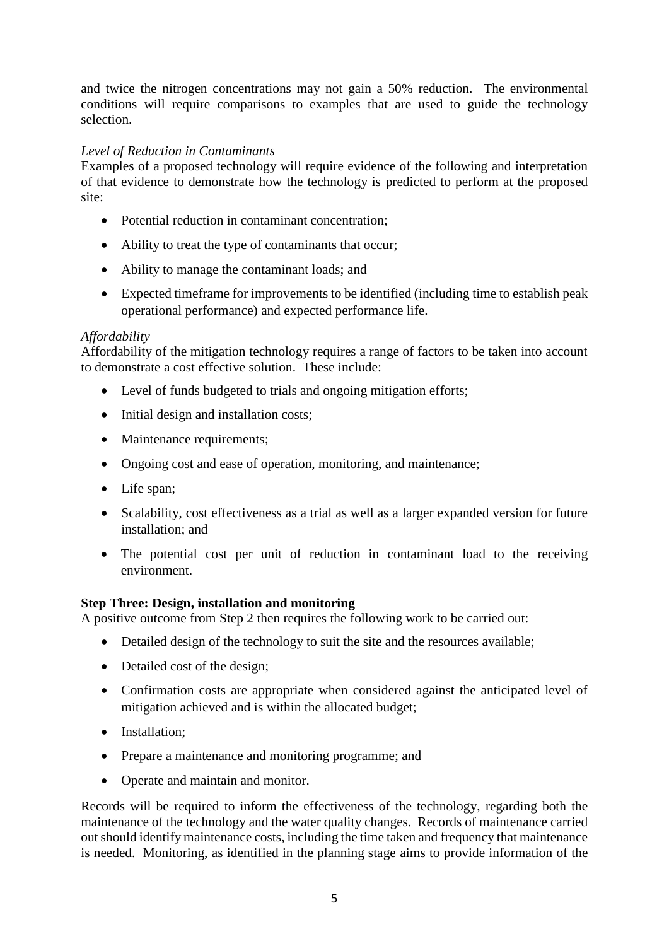and twice the nitrogen concentrations may not gain a 50% reduction. The environmental conditions will require comparisons to examples that are used to guide the technology selection.

### *Level of Reduction in Contaminants*

Examples of a proposed technology will require evidence of the following and interpretation of that evidence to demonstrate how the technology is predicted to perform at the proposed site:

- Potential reduction in contaminant concentration;
- Ability to treat the type of contaminants that occur;
- Ability to manage the contaminant loads; and
- Expected timeframe for improvements to be identified (including time to establish peak operational performance) and expected performance life.

#### *Affordability*

Affordability of the mitigation technology requires a range of factors to be taken into account to demonstrate a cost effective solution. These include:

- Level of funds budgeted to trials and ongoing mitigation efforts;
- Initial design and installation costs;
- Maintenance requirements;
- Ongoing cost and ease of operation, monitoring, and maintenance;
- Life span;
- Scalability, cost effectiveness as a trial as well as a larger expanded version for future installation; and
- The potential cost per unit of reduction in contaminant load to the receiving environment.

#### **Step Three: Design, installation and monitoring**

A positive outcome from Step 2 then requires the following work to be carried out:

- Detailed design of the technology to suit the site and the resources available;
- Detailed cost of the design;
- Confirmation costs are appropriate when considered against the anticipated level of mitigation achieved and is within the allocated budget;
- Installation:
- Prepare a maintenance and monitoring programme; and
- Operate and maintain and monitor.

Records will be required to inform the effectiveness of the technology, regarding both the maintenance of the technology and the water quality changes. Records of maintenance carried outshould identify maintenance costs, including the time taken and frequency that maintenance is needed. Monitoring, as identified in the planning stage aims to provide information of the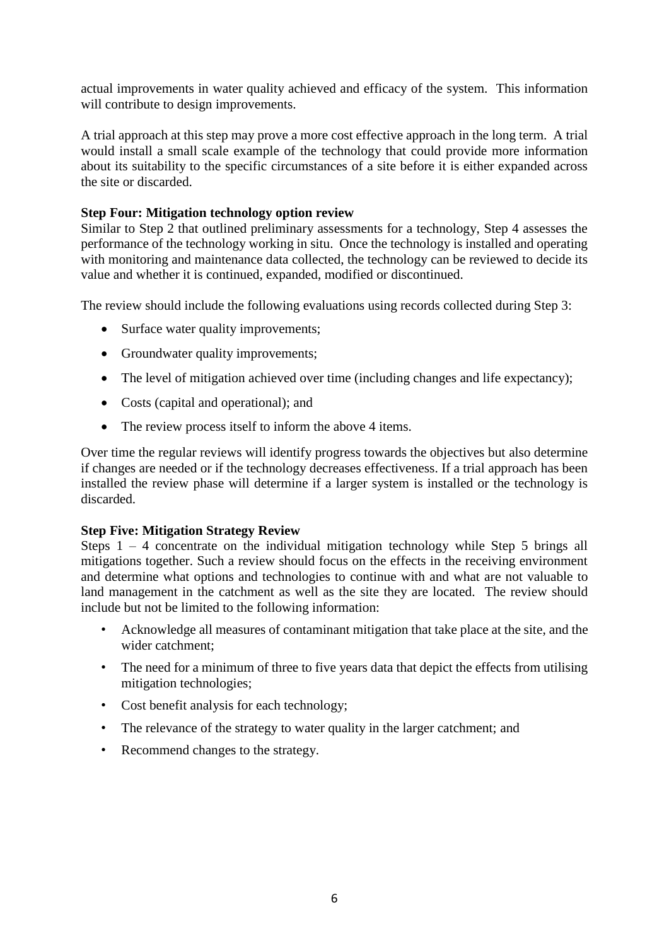actual improvements in water quality achieved and efficacy of the system. This information will contribute to design improvements.

A trial approach at this step may prove a more cost effective approach in the long term. A trial would install a small scale example of the technology that could provide more information about its suitability to the specific circumstances of a site before it is either expanded across the site or discarded.

#### **Step Four: Mitigation technology option review**

Similar to Step 2 that outlined preliminary assessments for a technology, Step 4 assesses the performance of the technology working in situ. Once the technology is installed and operating with monitoring and maintenance data collected, the technology can be reviewed to decide its value and whether it is continued, expanded, modified or discontinued.

The review should include the following evaluations using records collected during Step 3:

- Surface water quality improvements;
- Groundwater quality improvements;
- The level of mitigation achieved over time (including changes and life expectancy);
- Costs (capital and operational); and
- The review process itself to inform the above 4 items.

Over time the regular reviews will identify progress towards the objectives but also determine if changes are needed or if the technology decreases effectiveness. If a trial approach has been installed the review phase will determine if a larger system is installed or the technology is discarded.

#### **Step Five: Mitigation Strategy Review**

Steps  $1 - 4$  concentrate on the individual mitigation technology while Step 5 brings all mitigations together. Such a review should focus on the effects in the receiving environment and determine what options and technologies to continue with and what are not valuable to land management in the catchment as well as the site they are located. The review should include but not be limited to the following information:

- Acknowledge all measures of contaminant mitigation that take place at the site, and the wider catchment;
- The need for a minimum of three to five years data that depict the effects from utilising mitigation technologies;
- Cost benefit analysis for each technology;
- The relevance of the strategy to water quality in the larger catchment; and
- Recommend changes to the strategy.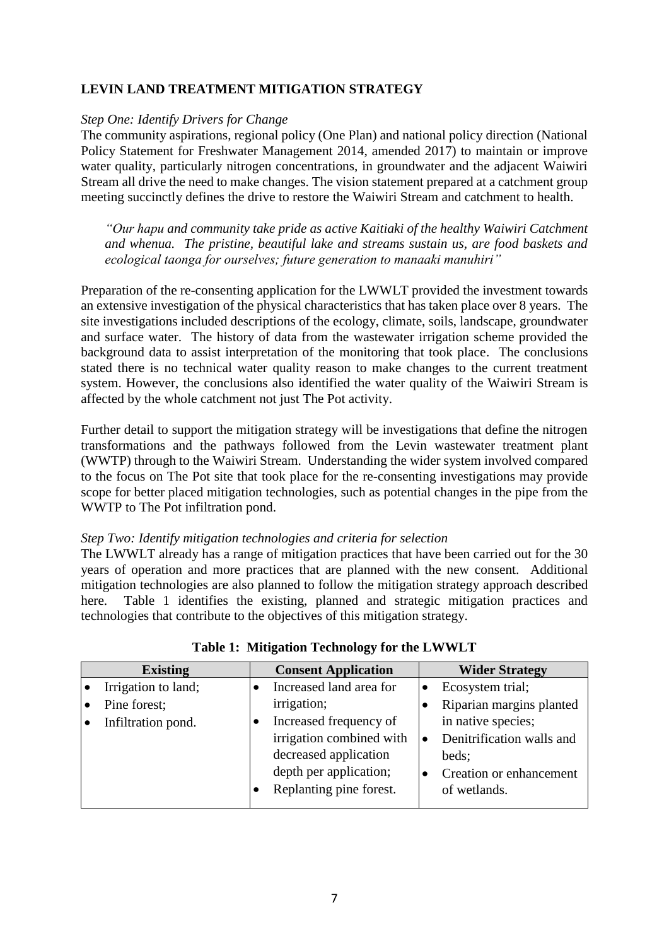# **LEVIN LAND TREATMENT MITIGATION STRATEGY**

#### *Step One: Identify Drivers for Change*

The community aspirations, regional policy (One Plan) and national policy direction (National Policy Statement for Freshwater Management 2014, amended 2017) to maintain or improve water quality, particularly nitrogen concentrations, in groundwater and the adjacent Waiwiri Stream all drive the need to make changes. The vision statement prepared at a catchment group meeting succinctly defines the drive to restore the Waiwiri Stream and catchment to health.

*"Our hapu and community take pride as active Kaitiaki of the healthy Waiwiri Catchment and whenua. The pristine, beautiful lake and streams sustain us, are food baskets and ecological taonga for ourselves; future generation to manaaki manuhiri"*

Preparation of the re-consenting application for the LWWLT provided the investment towards an extensive investigation of the physical characteristics that has taken place over 8 years. The site investigations included descriptions of the ecology, climate, soils, landscape, groundwater and surface water. The history of data from the wastewater irrigation scheme provided the background data to assist interpretation of the monitoring that took place. The conclusions stated there is no technical water quality reason to make changes to the current treatment system. However, the conclusions also identified the water quality of the Waiwiri Stream is affected by the whole catchment not just The Pot activity.

Further detail to support the mitigation strategy will be investigations that define the nitrogen transformations and the pathways followed from the Levin wastewater treatment plant (WWTP) through to the Waiwiri Stream. Understanding the wider system involved compared to the focus on The Pot site that took place for the re-consenting investigations may provide scope for better placed mitigation technologies, such as potential changes in the pipe from the WWTP to The Pot infiltration pond.

#### *Step Two: Identify mitigation technologies and criteria for selection*

The LWWLT already has a range of mitigation practices that have been carried out for the 30 years of operation and more practices that are planned with the new consent. Additional mitigation technologies are also planned to follow the mitigation strategy approach described here. Table 1 identifies the existing, planned and strategic mitigation practices and technologies that contribute to the objectives of this mitigation strategy.

| <b>Existing</b> |                     | <b>Consent Application</b> |                          | <b>Wider Strategy</b> |                           |
|-----------------|---------------------|----------------------------|--------------------------|-----------------------|---------------------------|
|                 | Irrigation to land; |                            | Increased land area for  |                       | Ecosystem trial;          |
|                 | Pine forest;        |                            | irrigation;              |                       | Riparian margins planted  |
|                 | Infiltration pond.  |                            | Increased frequency of   |                       | in native species;        |
|                 |                     |                            | irrigation combined with |                       | Denitrification walls and |
|                 |                     |                            | decreased application    |                       | beds:                     |
|                 |                     |                            | depth per application;   |                       | Creation or enhancement   |
|                 |                     |                            | Replanting pine forest.  |                       | of wetlands.              |
|                 |                     |                            |                          |                       |                           |

**Table 1: Mitigation Technology for the LWWLT**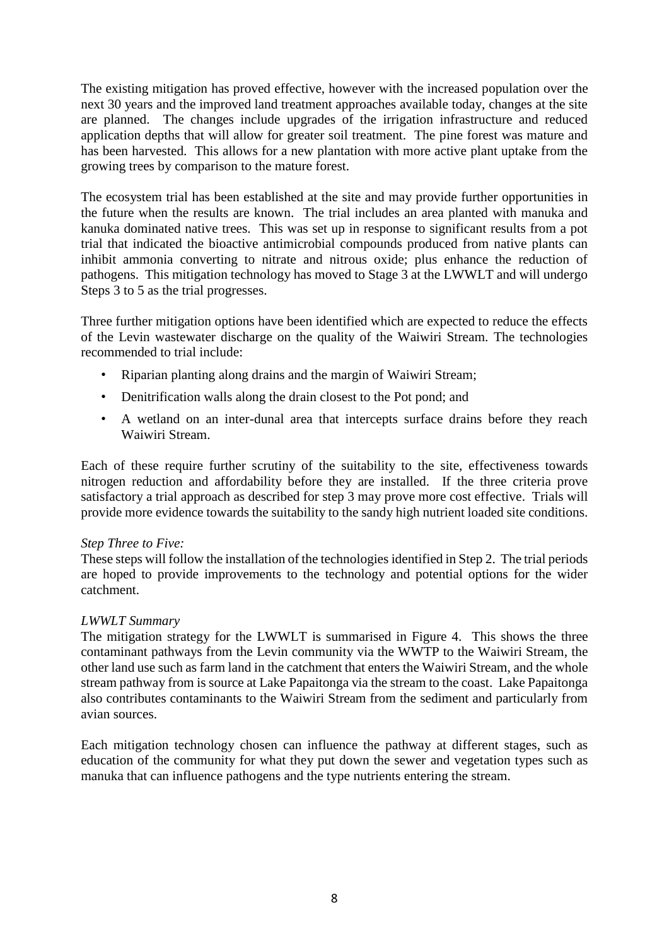The existing mitigation has proved effective, however with the increased population over the next 30 years and the improved land treatment approaches available today, changes at the site are planned. The changes include upgrades of the irrigation infrastructure and reduced application depths that will allow for greater soil treatment. The pine forest was mature and has been harvested. This allows for a new plantation with more active plant uptake from the growing trees by comparison to the mature forest.

The ecosystem trial has been established at the site and may provide further opportunities in the future when the results are known. The trial includes an area planted with manuka and kanuka dominated native trees. This was set up in response to significant results from a pot trial that indicated the bioactive antimicrobial compounds produced from native plants can inhibit ammonia converting to nitrate and nitrous oxide; plus enhance the reduction of pathogens. This mitigation technology has moved to Stage 3 at the LWWLT and will undergo Steps 3 to 5 as the trial progresses.

Three further mitigation options have been identified which are expected to reduce the effects of the Levin wastewater discharge on the quality of the Waiwiri Stream. The technologies recommended to trial include:

- Riparian planting along drains and the margin of Waiwiri Stream;
- Denitrification walls along the drain closest to the Pot pond; and
- A wetland on an inter-dunal area that intercepts surface drains before they reach Waiwiri Stream.

Each of these require further scrutiny of the suitability to the site, effectiveness towards nitrogen reduction and affordability before they are installed. If the three criteria prove satisfactory a trial approach as described for step 3 may prove more cost effective. Trials will provide more evidence towards the suitability to the sandy high nutrient loaded site conditions.

#### *Step Three to Five:*

These steps will follow the installation of the technologies identified in Step 2. The trial periods are hoped to provide improvements to the technology and potential options for the wider catchment.

#### *LWWLT Summary*

The mitigation strategy for the LWWLT is summarised in Figure 4. This shows the three contaminant pathways from the Levin community via the WWTP to the Waiwiri Stream, the other land use such as farm land in the catchment that enters the Waiwiri Stream, and the whole stream pathway from is source at Lake Papaitonga via the stream to the coast. Lake Papaitonga also contributes contaminants to the Waiwiri Stream from the sediment and particularly from avian sources.

Each mitigation technology chosen can influence the pathway at different stages, such as education of the community for what they put down the sewer and vegetation types such as manuka that can influence pathogens and the type nutrients entering the stream.